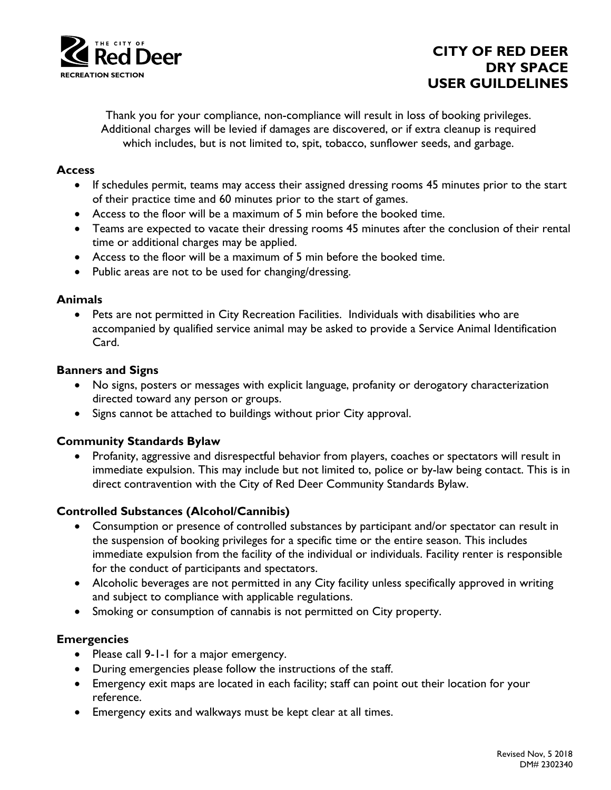

# **CITY OF RED DEER DRY SPACE USER GUILDELINES**

Thank you for your compliance, non-compliance will result in loss of booking privileges. Additional charges will be levied if damages are discovered, or if extra cleanup is required which includes, but is not limited to, spit, tobacco, sunflower seeds, and garbage.

## **Access**

- If schedules permit, teams may access their assigned dressing rooms 45 minutes prior to the start of their practice time and 60 minutes prior to the start of games.
- Access to the floor will be a maximum of 5 min before the booked time.
- Teams are expected to vacate their dressing rooms 45 minutes after the conclusion of their rental time or additional charges may be applied.
- Access to the floor will be a maximum of 5 min before the booked time.
- Public areas are not to be used for changing/dressing.

## **Animals**

 Pets are not permitted in City Recreation Facilities. Individuals with disabilities who are accompanied by qualified service animal may be asked to provide a Service Animal Identification Card.

## **Banners and Signs**

- No signs, posters or messages with explicit language, profanity or derogatory characterization directed toward any person or groups.
- Signs cannot be attached to buildings without prior City approval.

## **Community Standards Bylaw**

 Profanity, aggressive and disrespectful behavior from players, coaches or spectators will result in immediate expulsion. This may include but not limited to, police or by-law being contact. This is in direct contravention with the City of Red Deer Community Standards Bylaw.

## **Controlled Substances (Alcohol/Cannibis)**

- Consumption or presence of controlled substances by participant and/or spectator can result in the suspension of booking privileges for a specific time or the entire season. This includes immediate expulsion from the facility of the individual or individuals. Facility renter is responsible for the conduct of participants and spectators.
- Alcoholic beverages are not permitted in any City facility unless specifically approved in writing and subject to compliance with applicable regulations.
- Smoking or consumption of cannabis is not permitted on City property.

## **Emergencies**

- Please call 9-1-1 for a major emergency.
- During emergencies please follow the instructions of the staff.
- Emergency exit maps are located in each facility; staff can point out their location for your reference.
- Emergency exits and walkways must be kept clear at all times.